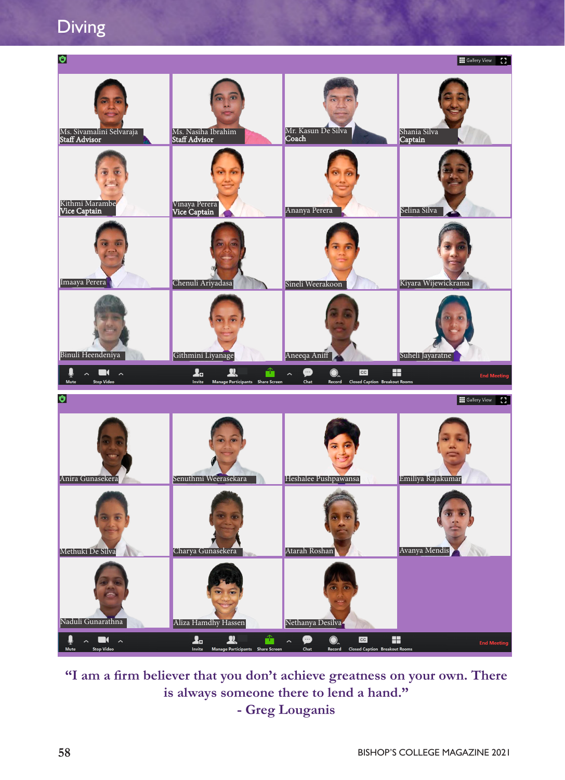Diving



**"I am a firm believer that you don't achieve greatness on your own. There is always someone there to lend a hand." - Greg Louganis**